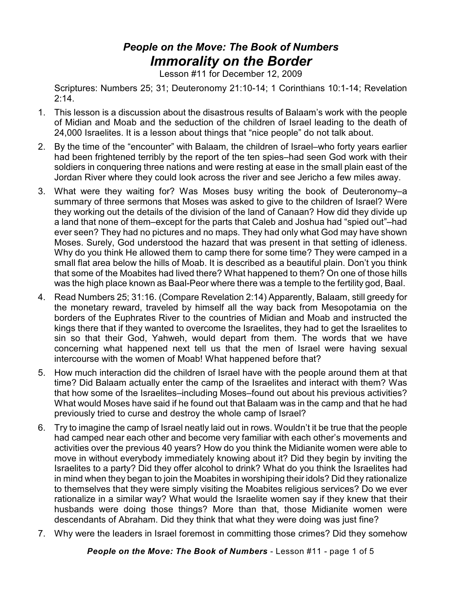## *People on the Move: The Book of Numbers Immorality on the Border*

Lesson #11 for December 12, 2009

Scriptures: Numbers 25; 31; Deuteronomy 21:10-14; 1 Corinthians 10:1-14; Revelation 2:14.

- 1. This lesson is a discussion about the disastrous results of Balaam's work with the people of Midian and Moab and the seduction of the children of Israel leading to the death of 24,000 Israelites. It is a lesson about things that "nice people" do not talk about.
- 2. By the time of the "encounter" with Balaam, the children of Israel–who forty years earlier had been frightened terribly by the report of the ten spies–had seen God work with their soldiers in conquering three nations and were resting at ease in the small plain east of the Jordan River where they could look across the river and see Jericho a few miles away.
- 3. What were they waiting for? Was Moses busy writing the book of Deuteronomy–a summary of three sermons that Moses was asked to give to the children of Israel? Were they working out the details of the division of the land of Canaan? How did they divide up a land that none of them–except for the parts that Caleb and Joshua had "spied out"–had ever seen? They had no pictures and no maps. They had only what God may have shown Moses. Surely, God understood the hazard that was present in that setting of idleness. Why do you think He allowed them to camp there for some time? They were camped in a small flat area below the hills of Moab. It is described as a beautiful plain. Don't you think that some of the Moabites had lived there? What happened to them? On one of those hills was the high place known as Baal-Peor where there was a temple to the fertility god, Baal.
- 4. Read Numbers 25; 31:16. (Compare Revelation 2:14) Apparently, Balaam, still greedy for the monetary reward, traveled by himself all the way back from Mesopotamia on the borders of the Euphrates River to the countries of Midian and Moab and instructed the kings there that if they wanted to overcome the Israelites, they had to get the Israelites to sin so that their God, Yahweh, would depart from them. The words that we have concerning what happened next tell us that the men of Israel were having sexual intercourse with the women of Moab! What happened before that?
- 5. How much interaction did the children of Israel have with the people around them at that time? Did Balaam actually enter the camp of the Israelites and interact with them? Was that how some of the Israelites–including Moses–found out about his previous activities? What would Moses have said if he found out that Balaam was in the camp and that he had previously tried to curse and destroy the whole camp of Israel?
- 6. Try to imagine the camp of Israel neatly laid out in rows. Wouldn't it be true that the people had camped near each other and become very familiar with each other's movements and activities over the previous 40 years? How do you think the Midianite women were able to move in without everybody immediately knowing about it? Did they begin by inviting the Israelites to a party? Did they offer alcohol to drink? What do you think the Israelites had in mind when they began to join the Moabites in worshiping their idols? Did they rationalize to themselves that they were simply visiting the Moabites religious services? Do we ever rationalize in a similar way? What would the Israelite women say if they knew that their husbands were doing those things? More than that, those Midianite women were descendants of Abraham. Did they think that what they were doing was just fine?
- 7. Why were the leaders in Israel foremost in committing those crimes? Did they somehow

*People on the Move: The Book of Numbers* - Lesson #11 - page 1 of 5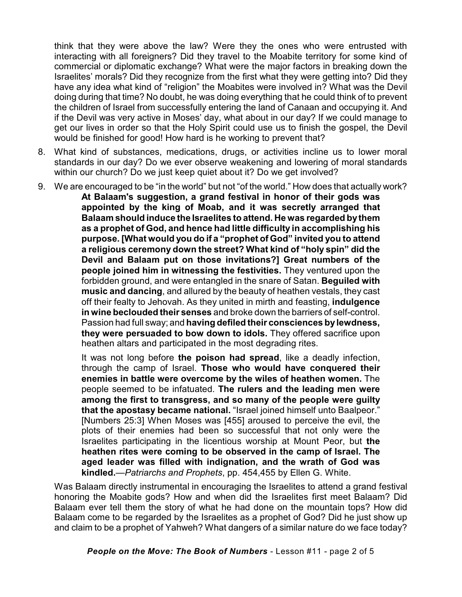think that they were above the law? Were they the ones who were entrusted with interacting with all foreigners? Did they travel to the Moabite territory for some kind of commercial or diplomatic exchange? What were the major factors in breaking down the Israelites' morals? Did they recognize from the first what they were getting into? Did they have any idea what kind of "religion" the Moabites were involved in? What was the Devil doing during that time? No doubt, he was doing everything that he could think of to prevent the children of Israel from successfully entering the land of Canaan and occupying it. And if the Devil was very active in Moses' day, what about in our day? If we could manage to get our lives in order so that the Holy Spirit could use us to finish the gospel, the Devil would be finished for good! How hard is he working to prevent that?

- 8. What kind of substances, medications, drugs, or activities incline us to lower moral standards in our day? Do we ever observe weakening and lowering of moral standards within our church? Do we just keep quiet about it? Do we get involved?
- 9. We are encouraged to be "in the world" but not "of the world." How does that actually work?

**At Balaam's suggestion, a grand festival in honor of their gods was appointed by the king of Moab, and it was secretly arranged that Balaam should induce the Israelites to attend. He was regarded bythem as a prophet of God, and hence had little difficulty in accomplishing his purpose. [What would you do if a "prophet of God" invited you to attend a religious ceremony down the street? What kind of "holy spin" did the Devil and Balaam put on those invitations?] Great numbers of the people joined him in witnessing the festivities.** They ventured upon the forbidden ground, and were entangled in the snare of Satan. **Beguiled with music and dancing**, and allured by the beauty of heathen vestals, they cast off their fealty to Jehovah. As they united in mirth and feasting, **indulgence in wine beclouded their senses** and broke down the barriers of self-control. Passion had full sway; and **having defiled their consciences by lewdness, they were persuaded to bow down to idols.** They offered sacrifice upon heathen altars and participated in the most degrading rites.

It was not long before **the poison had spread**, like a deadly infection, through the camp of Israel. **Those who would have conquered their enemies in battle were overcome by the wiles of heathen women.** The people seemed to be infatuated. **The rulers and the leading men were among the first to transgress, and so many of the people were guilty that the apostasy became national.** "Israel joined himself unto Baalpeor." [Numbers 25:3] When Moses was [455] aroused to perceive the evil, the plots of their enemies had been so successful that not only were the Israelites participating in the licentious worship at Mount Peor, but **the heathen rites were coming to be observed in the camp of Israel. The aged leader was filled with indignation, and the wrath of God was kindled.**—*Patriarchs and Prophets*, pp. 454,455 by Ellen G. White.

Was Balaam directly instrumental in encouraging the Israelites to attend a grand festival honoring the Moabite gods? How and when did the Israelites first meet Balaam? Did Balaam ever tell them the story of what he had done on the mountain tops? How did Balaam come to be regarded by the Israelites as a prophet of God? Did he just show up and claim to be a prophet of Yahweh? What dangers of a similar nature do we face today?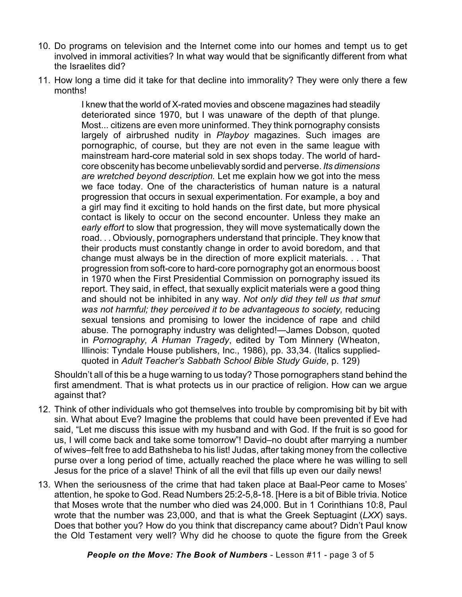- 10. Do programs on television and the Internet come into our homes and tempt us to get involved in immoral activities? In what way would that be significantly different from what the Israelites did?
- 11. How long a time did it take for that decline into immorality? They were only there a few months!

I knew that the world of X-rated movies and obscene magazines had steadily deteriorated since 1970, but I was unaware of the depth of that plunge. Most... citizens are even more uninformed. They think pornography consists largely of airbrushed nudity in *Playboy* magazines. Such images are pornographic, of course, but they are not even in the same league with mainstream hard-core material sold in sex shops today. The world of hardcore obscenity has become unbelievably sordid and perverse. *Its dimensions are wretched beyond description.* Let me explain how we got into the mess we face today. One of the characteristics of human nature is a natural progression that occurs in sexual experimentation. For example, a boy and a girl may find it exciting to hold hands on the first date, but more physical contact is likely to occur on the second encounter. Unless they make an *early effort* to slow that progression, they will move systematically down the road. . . Obviously, pornographers understand that principle. They know that their products must constantly change in order to avoid boredom, and that change must always be in the direction of more explicit materials. . . That progression from soft-core to hard-core pornography got an enormous boost in 1970 when the First Presidential Commission on pornography issued its report. They said, in effect, that sexually explicit materials were a good thing and should not be inhibited in any way. *Not only did they tell us that smut was not harmful; they perceived it to be advantageous to society,* reducing sexual tensions and promising to lower the incidence of rape and child abuse. The pornography industry was delighted!—James Dobson, quoted in *Pornography, A Human Tragedy*, edited by Tom Minnery (Wheaton, Illinois: Tyndale House publishers, Inc., 1986), pp. 33,34. (Italics suppliedquoted in *Adult Teacher's Sabbath School Bible Study Guide*, p. 129)

Shouldn't all of this be a huge warning to us today? Those pornographers stand behind the first amendment. That is what protects us in our practice of religion. How can we argue against that?

- 12. Think of other individuals who got themselves into trouble by compromising bit by bit with sin. What about Eve? Imagine the problems that could have been prevented if Eve had said, "Let me discuss this issue with my husband and with God. If the fruit is so good for us, I will come back and take some tomorrow"! David–no doubt after marrying a number of wives–felt free to add Bathsheba to his list! Judas, after taking money from the collective purse over a long period of time, actually reached the place where he was willing to sell Jesus for the price of a slave! Think of all the evil that fills up even our daily news!
- 13. When the seriousness of the crime that had taken place at Baal-Peor came to Moses' attention, he spoke to God. Read Numbers 25:2-5,8-18. [Here is a bit of Bible trivia. Notice that Moses wrote that the number who died was 24,000. But in 1 Corinthians 10:8, Paul wrote that the number was 23,000, and that is what the Greek Septuagint (*LXX*) says. Does that bother you? How do you think that discrepancy came about? Didn't Paul know the Old Testament very well? Why did he choose to quote the figure from the Greek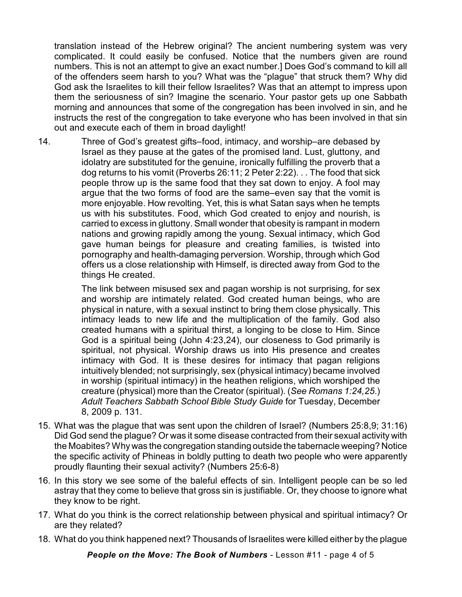translation instead of the Hebrew original? The ancient numbering system was very complicated. It could easily be confused. Notice that the numbers given are round numbers. This is not an attempt to give an exact number.] Does God's command to kill all of the offenders seem harsh to you? What was the "plague" that struck them? Why did God ask the Israelites to kill their fellow Israelites? Was that an attempt to impress upon them the seriousness of sin? Imagine the scenario. Your pastor gets up one Sabbath morning and announces that some of the congregation has been involved in sin, and he instructs the rest of the congregation to take everyone who has been involved in that sin out and execute each of them in broad daylight!

14. Three of God's greatest gifts–food, intimacy, and worship–are debased by Israel as they pause at the gates of the promised land. Lust, gluttony, and idolatry are substituted for the genuine, ironically fulfilling the proverb that a dog returns to his vomit (Proverbs 26:11; 2 Peter 2:22). . . The food that sick people throw up is the same food that they sat down to enjoy. A fool may argue that the two forms of food are the same–even say that the vomit is more enjoyable. How revolting. Yet, this is what Satan says when he tempts us with his substitutes. Food, which God created to enjoy and nourish, is carried to excess in gluttony. Small wonder that obesity is rampant in modern nations and growing rapidly among the young. Sexual intimacy, which God gave human beings for pleasure and creating families, is twisted into pornography and health-damaging perversion. Worship, through which God offers us a close relationship with Himself, is directed away from God to the things He created.

> The link between misused sex and pagan worship is not surprising, for sex and worship are intimately related. God created human beings, who are physical in nature, with a sexual instinct to bring them close physically. This intimacy leads to new life and the multiplication of the family. God also created humans with a spiritual thirst, a longing to be close to Him. Since God is a spiritual being (John 4:23,24), our closeness to God primarily is spiritual, not physical. Worship draws us into His presence and creates intimacy with God. It is these desires for intimacy that pagan religions intuitively blended; not surprisingly, sex (physical intimacy) became involved in worship (spiritual intimacy) in the heathen religions, which worshiped the creature (physical) more than the Creator (spiritual). (*See Romans 1:24,25*.) *Adult Teachers Sabbath School Bible Study Guide* for Tuesday, December 8, 2009 p. 131.

- 15. What was the plague that was sent upon the children of Israel? (Numbers 25:8,9; 31:16) Did God send the plague? Or was it some disease contracted from their sexual activity with the Moabites? Why was the congregation standing outside the tabernacle weeping? Notice the specific activity of Phineas in boldly putting to death two people who were apparently proudly flaunting their sexual activity? (Numbers 25:6-8)
- 16. In this story we see some of the baleful effects of sin. Intelligent people can be so led astray that they come to believe that gross sin is justifiable. Or, they choose to ignore what they know to be right.
- 17. What do you think is the correct relationship between physical and spiritual intimacy? Or are they related?
- 18. What do you think happened next? Thousands of Israelites were killed either by the plague

*People on the Move: The Book of Numbers* - Lesson #11 - page 4 of 5